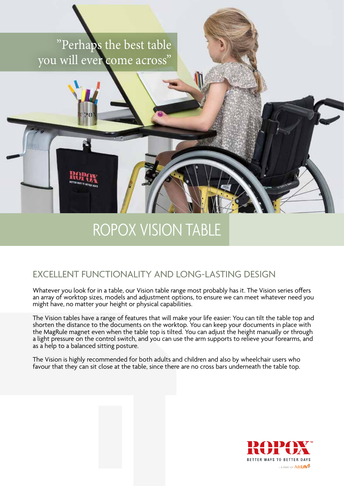### "Perhaps the best table you will ever come across"

# ROPOX VISION TABLE

### EXCELLENT FUNCTIONALITY AND LONG-LASTING DESIGN

Whatever you look for in a table, our Vision table range most probably has it. The Vision series offers an array of worktop sizes, models and adjustment options, to ensure we can meet whatever need you might have, no matter your height or physical capabilities.

The Vision tables have a range of features that will make your life easier: You can tilt the table top and shorten the distance to the documents on the worktop. You can keep your documents in place with the MagRule magnet even when the table top is tilted. You can adjust the height manually or through a light pressure on the control switch, and you can use the arm supports to relieve your forearms, and as a help to a balanced sitting posture.

The Vision is highly recommended for both adults and children and also by wheelchair users who favour that they can sit close at the table, since there are no cross bars underneath the table top.